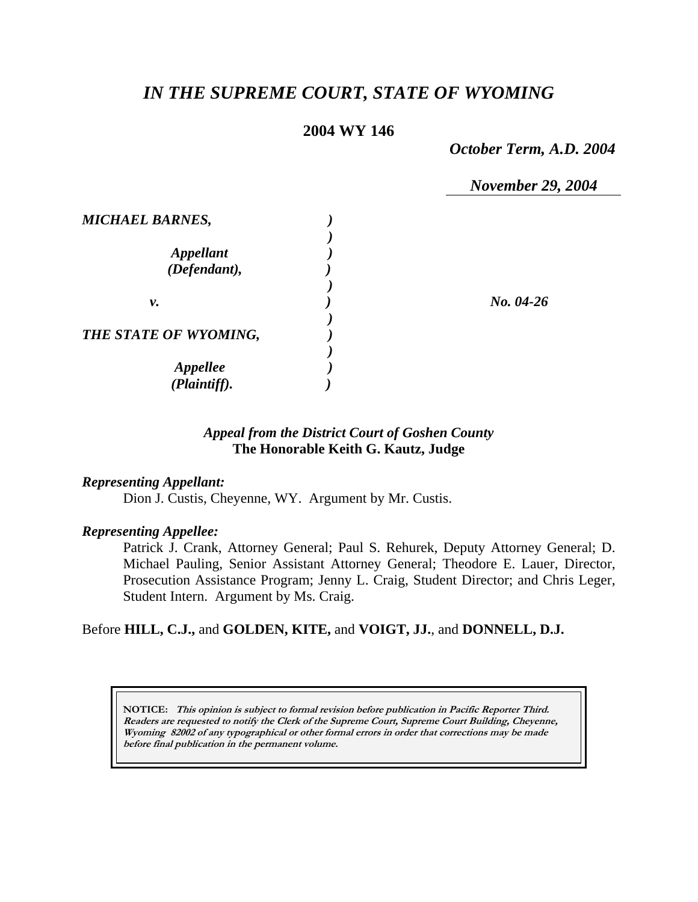# *IN THE SUPREME COURT, STATE OF WYOMING*

## **2004 WY 146**

*October Term, A.D. 2004* 

*November 29, 2004* 

| <b>MICHAEL BARNES,</b>           |             |
|----------------------------------|-------------|
| <b>Appellant</b><br>(Defendant), |             |
| ν.                               | $No. 04-26$ |
| THE STATE OF WYOMING,            |             |
| <b>Appellee</b><br>(Plaintiff).  |             |

## *Appeal from the District Court of Goshen County* **The Honorable Keith G. Kautz, Judge**

#### *Representing Appellant:*

Dion J. Custis, Cheyenne, WY. Argument by Mr. Custis.

#### *Representing Appellee:*

Patrick J. Crank, Attorney General; Paul S. Rehurek, Deputy Attorney General; D. Michael Pauling, Senior Assistant Attorney General; Theodore E. Lauer, Director, Prosecution Assistance Program; Jenny L. Craig, Student Director; and Chris Leger, Student Intern. Argument by Ms. Craig.

### Before **HILL, C.J.,** and **GOLDEN, KITE,** and **VOIGT, JJ.**, and **DONNELL, D.J.**

**NOTICE: This opinion is subject to formal revision before publication in Pacific Reporter Third. Readers are requested to notify the Clerk of the Supreme Court, Supreme Court Building, Cheyenne, Wyoming 82002 of any typographical or other formal errors in order that corrections may be made before final publication in the permanent volume.**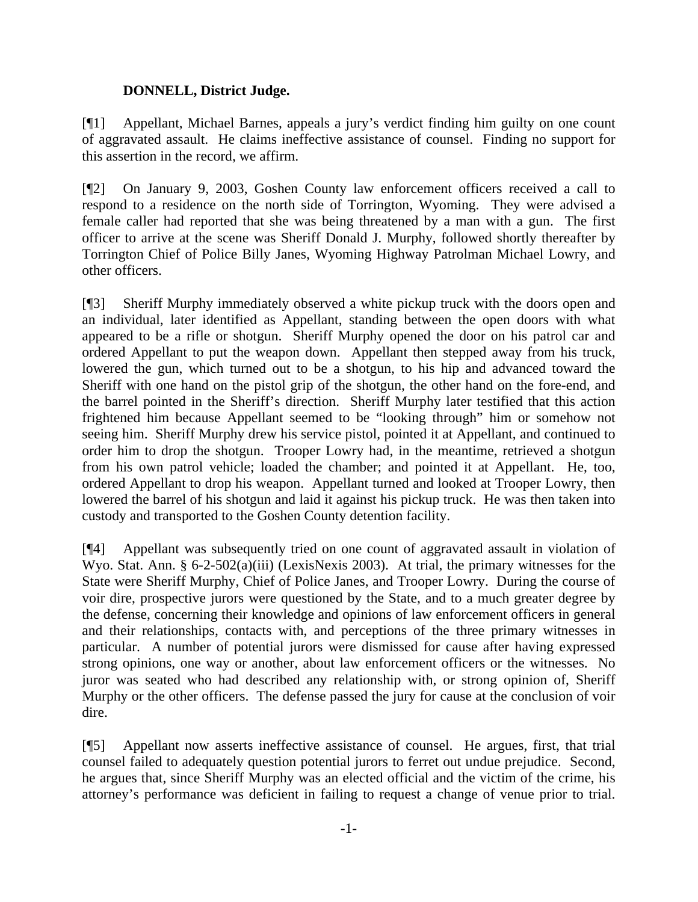## **DONNELL, District Judge.**

[¶1] Appellant, Michael Barnes, appeals a jury's verdict finding him guilty on one count of aggravated assault. He claims ineffective assistance of counsel. Finding no support for this assertion in the record, we affirm.

[¶2] On January 9, 2003, Goshen County law enforcement officers received a call to respond to a residence on the north side of Torrington, Wyoming. They were advised a female caller had reported that she was being threatened by a man with a gun. The first officer to arrive at the scene was Sheriff Donald J. Murphy, followed shortly thereafter by Torrington Chief of Police Billy Janes, Wyoming Highway Patrolman Michael Lowry, and other officers.

[¶3] Sheriff Murphy immediately observed a white pickup truck with the doors open and an individual, later identified as Appellant, standing between the open doors with what appeared to be a rifle or shotgun. Sheriff Murphy opened the door on his patrol car and ordered Appellant to put the weapon down. Appellant then stepped away from his truck, lowered the gun, which turned out to be a shotgun, to his hip and advanced toward the Sheriff with one hand on the pistol grip of the shotgun, the other hand on the fore-end, and the barrel pointed in the Sheriff's direction. Sheriff Murphy later testified that this action frightened him because Appellant seemed to be "looking through" him or somehow not seeing him. Sheriff Murphy drew his service pistol, pointed it at Appellant, and continued to order him to drop the shotgun. Trooper Lowry had, in the meantime, retrieved a shotgun from his own patrol vehicle; loaded the chamber; and pointed it at Appellant. He, too, ordered Appellant to drop his weapon. Appellant turned and looked at Trooper Lowry, then lowered the barrel of his shotgun and laid it against his pickup truck. He was then taken into custody and transported to the Goshen County detention facility.

[¶4] Appellant was subsequently tried on one count of aggravated assault in violation of Wyo. Stat. Ann. § 6-2-502(a)(iii) (LexisNexis 2003). At trial, the primary witnesses for the State were Sheriff Murphy, Chief of Police Janes, and Trooper Lowry. During the course of voir dire, prospective jurors were questioned by the State, and to a much greater degree by the defense, concerning their knowledge and opinions of law enforcement officers in general and their relationships, contacts with, and perceptions of the three primary witnesses in particular. A number of potential jurors were dismissed for cause after having expressed strong opinions, one way or another, about law enforcement officers or the witnesses. No juror was seated who had described any relationship with, or strong opinion of, Sheriff Murphy or the other officers. The defense passed the jury for cause at the conclusion of voir dire.

[¶5] Appellant now asserts ineffective assistance of counsel. He argues, first, that trial counsel failed to adequately question potential jurors to ferret out undue prejudice. Second, he argues that, since Sheriff Murphy was an elected official and the victim of the crime, his attorney's performance was deficient in failing to request a change of venue prior to trial.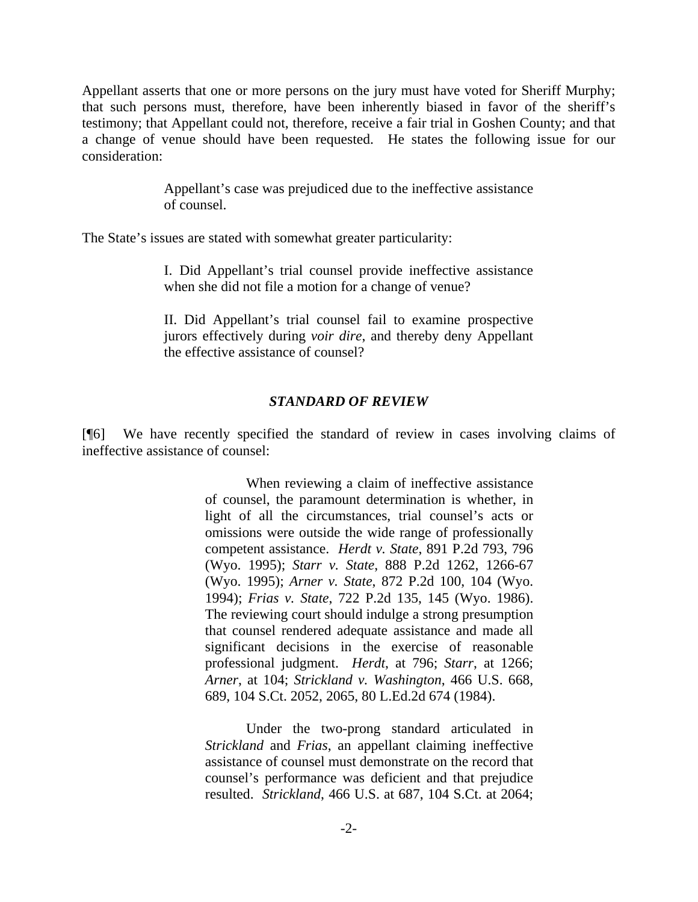Appellant asserts that one or more persons on the jury must have voted for Sheriff Murphy; that such persons must, therefore, have been inherently biased in favor of the sheriff's testimony; that Appellant could not, therefore, receive a fair trial in Goshen County; and that a change of venue should have been requested. He states the following issue for our consideration:

> Appellant's case was prejudiced due to the ineffective assistance of counsel.

The State's issues are stated with somewhat greater particularity:

I. Did Appellant's trial counsel provide ineffective assistance when she did not file a motion for a change of venue?

II. Did Appellant's trial counsel fail to examine prospective jurors effectively during *voir dire*, and thereby deny Appellant the effective assistance of counsel?

#### *STANDARD OF REVIEW*

[¶6] We have recently specified the standard of review in cases involving claims of ineffective assistance of counsel:

> When reviewing a claim of ineffective assistance of counsel, the paramount determination is whether, in light of all the circumstances, trial counsel's acts or omissions were outside the wide range of professionally competent assistance. *Herdt v. State*, 891 P.2d 793, 796 (Wyo. 1995); *Starr v. State*, 888 P.2d 1262, 1266-67 (Wyo. 1995); *Arner v. State*, 872 P.2d 100, 104 (Wyo. 1994); *Frias v. State*, 722 P.2d 135, 145 (Wyo. 1986). The reviewing court should indulge a strong presumption that counsel rendered adequate assistance and made all significant decisions in the exercise of reasonable professional judgment. *Herdt*, at 796; *Starr*, at 1266; *Arner*, at 104; *Strickland v. Washington*, 466 U.S. 668, 689, 104 S.Ct. 2052, 2065, 80 L.Ed.2d 674 (1984).

> Under the two-prong standard articulated in *Strickland* and *Frias*, an appellant claiming ineffective assistance of counsel must demonstrate on the record that counsel's performance was deficient and that prejudice resulted. *Strickland*, 466 U.S. at 687, 104 S.Ct. at 2064;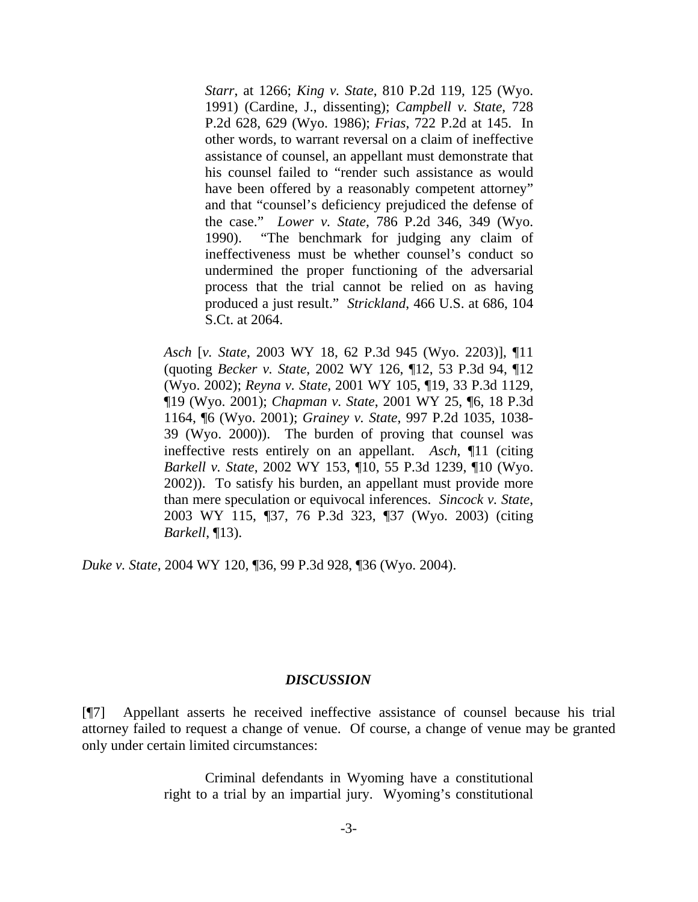*Starr*, at 1266; *King v. State*, 810 P.2d 119, 125 (Wyo. 1991) (Cardine, J., dissenting); *Campbell v. State*, 728 P.2d 628, 629 (Wyo. 1986); *Frias*, 722 P.2d at 145. In other words, to warrant reversal on a claim of ineffective assistance of counsel, an appellant must demonstrate that his counsel failed to "render such assistance as would have been offered by a reasonably competent attorney" and that "counsel's deficiency prejudiced the defense of the case." *Lower v. State*, 786 P.2d 346, 349 (Wyo. 1990). "The benchmark for judging any claim of ineffectiveness must be whether counsel's conduct so undermined the proper functioning of the adversarial process that the trial cannot be relied on as having produced a just result." *Strickland*, 466 U.S. at 686, 104 S.Ct. at 2064.

*Asch* [*v. State*, 2003 WY 18, 62 P.3d 945 (Wyo. 2203)], ¶11 (quoting *Becker v. State*, 2002 WY 126, ¶12, 53 P.3d 94, ¶12 (Wyo. 2002); *Reyna v. State*, 2001 WY 105, ¶19, 33 P.3d 1129, ¶19 (Wyo. 2001); *Chapman v. State*, 2001 WY 25, ¶6, 18 P.3d 1164, ¶6 (Wyo. 2001); *Grainey v. State*, 997 P.2d 1035, 1038- 39 (Wyo. 2000)). The burden of proving that counsel was ineffective rests entirely on an appellant. *Asch*, ¶11 (citing *Barkell v. State*, 2002 WY 153, ¶10, 55 P.3d 1239, ¶10 (Wyo. 2002)). To satisfy his burden, an appellant must provide more than mere speculation or equivocal inferences. *Sincock v. State*, 2003 WY 115, ¶37, 76 P.3d 323, ¶37 (Wyo. 2003) (citing *Barkell*, ¶13).

*Duke v. State*, 2004 WY 120, ¶36, 99 P.3d 928, ¶36 (Wyo. 2004).

#### *DISCUSSION*

[¶7] Appellant asserts he received ineffective assistance of counsel because his trial attorney failed to request a change of venue. Of course, a change of venue may be granted only under certain limited circumstances:

> Criminal defendants in Wyoming have a constitutional right to a trial by an impartial jury. Wyoming's constitutional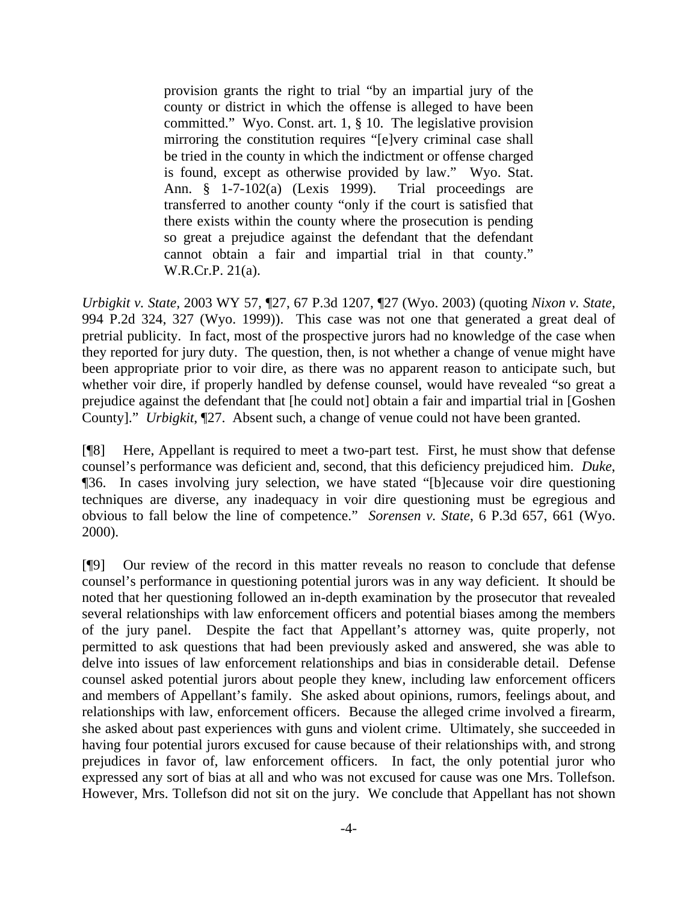provision grants the right to trial "by an impartial jury of the county or district in which the offense is alleged to have been committed." Wyo. Const. art. 1, § 10. The legislative provision mirroring the constitution requires "[e]very criminal case shall be tried in the county in which the indictment or offense charged is found, except as otherwise provided by law." Wyo. Stat. Ann. § 1-7-102(a) (Lexis 1999). Trial proceedings are transferred to another county "only if the court is satisfied that there exists within the county where the prosecution is pending so great a prejudice against the defendant that the defendant cannot obtain a fair and impartial trial in that county." W.R.Cr.P. 21(a).

*Urbigkit v. State,* 2003 WY 57*,* ¶27, 67 P.3d 1207, ¶27 (Wyo. 2003) (quoting *Nixon v. State,*  994 P.2d 324, 327 (Wyo. 1999)). This case was not one that generated a great deal of pretrial publicity. In fact, most of the prospective jurors had no knowledge of the case when they reported for jury duty. The question, then, is not whether a change of venue might have been appropriate prior to voir dire, as there was no apparent reason to anticipate such, but whether voir dire, if properly handled by defense counsel, would have revealed "so great a prejudice against the defendant that [he could not] obtain a fair and impartial trial in [Goshen County]." *Urbigkit*, ¶27. Absent such, a change of venue could not have been granted.

[¶8] Here, Appellant is required to meet a two-part test. First, he must show that defense counsel's performance was deficient and, second, that this deficiency prejudiced him. *Duke*, ¶36. In cases involving jury selection, we have stated "[b]ecause voir dire questioning techniques are diverse, any inadequacy in voir dire questioning must be egregious and obvious to fall below the line of competence." *Sorensen v. State*, 6 P.3d 657, 661 (Wyo. 2000).

[¶9] Our review of the record in this matter reveals no reason to conclude that defense counsel's performance in questioning potential jurors was in any way deficient. It should be noted that her questioning followed an in-depth examination by the prosecutor that revealed several relationships with law enforcement officers and potential biases among the members of the jury panel. Despite the fact that Appellant's attorney was, quite properly, not permitted to ask questions that had been previously asked and answered, she was able to delve into issues of law enforcement relationships and bias in considerable detail. Defense counsel asked potential jurors about people they knew, including law enforcement officers and members of Appellant's family. She asked about opinions, rumors, feelings about, and relationships with law, enforcement officers. Because the alleged crime involved a firearm, she asked about past experiences with guns and violent crime. Ultimately, she succeeded in having four potential jurors excused for cause because of their relationships with, and strong prejudices in favor of, law enforcement officers. In fact, the only potential juror who expressed any sort of bias at all and who was not excused for cause was one Mrs. Tollefson. However, Mrs. Tollefson did not sit on the jury. We conclude that Appellant has not shown